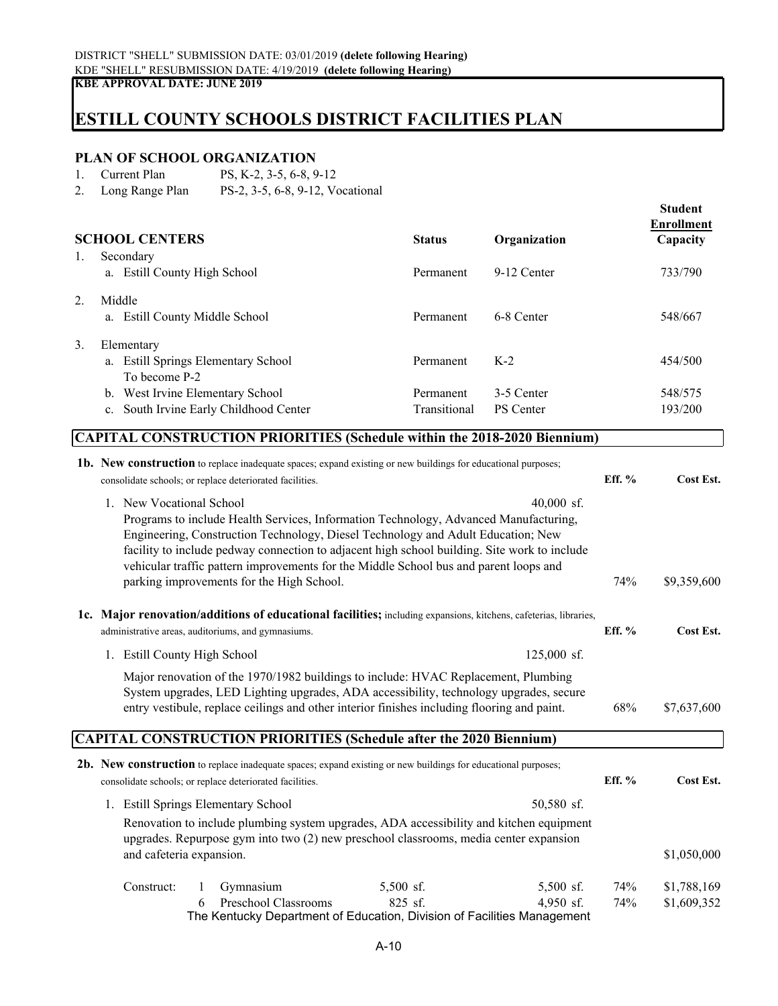**KBE APPROVAL DATE: JUNE 2019**

## **ESTILL COUNTY SCHOOLS DISTRICT FACILITIES PLAN**

## **PLAN OF SCHOOL ORGANIZATION**

- 1. Current Plan PS, K-2, 3-5, 6-8, 9-12
- 2. Long Range Plan PS-2, 3-5, 6-8, 9-12, Vocational

|    | <b>SCHOOL CENTERS</b>                                | <b>Status</b> | Organization     | <b>Student</b><br>Enrollment<br>Capacity |
|----|------------------------------------------------------|---------------|------------------|------------------------------------------|
| 1. | Secondary                                            |               |                  |                                          |
|    | a. Estill County High School                         | Permanent     | 9-12 Center      | 733/790                                  |
| 2. | Middle<br>a. Estill County Middle School             | Permanent     | 6-8 Center       | 548/667                                  |
| 3. | Elementary                                           |               |                  |                                          |
|    | a. Estill Springs Elementary School<br>To become P-2 | Permanent     | $K-2$            | 454/500                                  |
|    | West Irvine Elementary School<br>b.                  | Permanent     | 3-5 Center       | 548/575                                  |
|    | South Irvine Early Childhood Center<br>c.            | Transitional  | <b>PS</b> Center | 193/200                                  |

## **CAPITAL CONSTRUCTION PRIORITIES (Schedule within the 2018-2020 Biennium)**

| <b>1b.</b> New construction to replace inadequate spaces; expand existing or new buildings for educational purposes;<br>consolidate schools; or replace deteriorated facilities.                                                                                            |                      |                                                                                                                                                                                                                                                                                                                                                                   |              |          | Cost Est.   |
|-----------------------------------------------------------------------------------------------------------------------------------------------------------------------------------------------------------------------------------------------------------------------------|----------------------|-------------------------------------------------------------------------------------------------------------------------------------------------------------------------------------------------------------------------------------------------------------------------------------------------------------------------------------------------------------------|--------------|----------|-------------|
| 1. New Vocational School<br>parking improvements for the High School.                                                                                                                                                                                                       |                      | Programs to include Health Services, Information Technology, Advanced Manufacturing,<br>Engineering, Construction Technology, Diesel Technology and Adult Education; New<br>facility to include pedway connection to adjacent high school building. Site work to include<br>vehicular traffic pattern improvements for the Middle School bus and parent loops and | $40,000$ sf. | 74%      | \$9,359,600 |
|                                                                                                                                                                                                                                                                             |                      |                                                                                                                                                                                                                                                                                                                                                                   |              |          |             |
| 1c. Major renovation/additions of educational facilities; including expansions, kitchens, cafeterias, libraries,<br>administrative areas, auditoriums, and gymnasiums.                                                                                                      |                      |                                                                                                                                                                                                                                                                                                                                                                   |              | Eff. $%$ | Cost Est.   |
| 1. Estill County High School                                                                                                                                                                                                                                                |                      |                                                                                                                                                                                                                                                                                                                                                                   | 125,000 sf.  |          |             |
| Major renovation of the 1970/1982 buildings to include: HVAC Replacement, Plumbing<br>System upgrades, LED Lighting upgrades, ADA accessibility, technology upgrades, secure<br>entry vestibule, replace ceilings and other interior finishes including flooring and paint. | 68%                  | \$7,637,600                                                                                                                                                                                                                                                                                                                                                       |              |          |             |
| CAPITAL CONSTRUCTION PRIORITIES (Schedule after the 2020 Biennium)                                                                                                                                                                                                          |                      |                                                                                                                                                                                                                                                                                                                                                                   |              |          |             |
| <b>2b.</b> New construction to replace inadequate spaces; expand existing or new buildings for educational purposes;                                                                                                                                                        |                      |                                                                                                                                                                                                                                                                                                                                                                   |              |          |             |
| consolidate schools; or replace deteriorated facilities.                                                                                                                                                                                                                    |                      |                                                                                                                                                                                                                                                                                                                                                                   |              | Eff. $%$ | Cost Est.   |
| 1. Estill Springs Elementary School                                                                                                                                                                                                                                         |                      |                                                                                                                                                                                                                                                                                                                                                                   | 50,580 sf.   |          |             |
| Renovation to include plumbing system upgrades, ADA accessibility and kitchen equipment<br>upgrades. Repurpose gym into two $(2)$ new preschool classrooms, media center expansion                                                                                          |                      |                                                                                                                                                                                                                                                                                                                                                                   |              |          |             |
| and cafeteria expansion.                                                                                                                                                                                                                                                    |                      |                                                                                                                                                                                                                                                                                                                                                                   |              |          | \$1,050,000 |
| Construct:<br>Gymnasium<br>1                                                                                                                                                                                                                                                |                      | 5,500 sf.                                                                                                                                                                                                                                                                                                                                                         | 5,500 sf.    | 74%      | \$1,788,169 |
| 6                                                                                                                                                                                                                                                                           | Preschool Classrooms | 825 sf.                                                                                                                                                                                                                                                                                                                                                           | 4,950 sf.    | 74%      | \$1,609,352 |
|                                                                                                                                                                                                                                                                             |                      | The Kentucky Department of Education, Division of Facilities Management                                                                                                                                                                                                                                                                                           |              |          |             |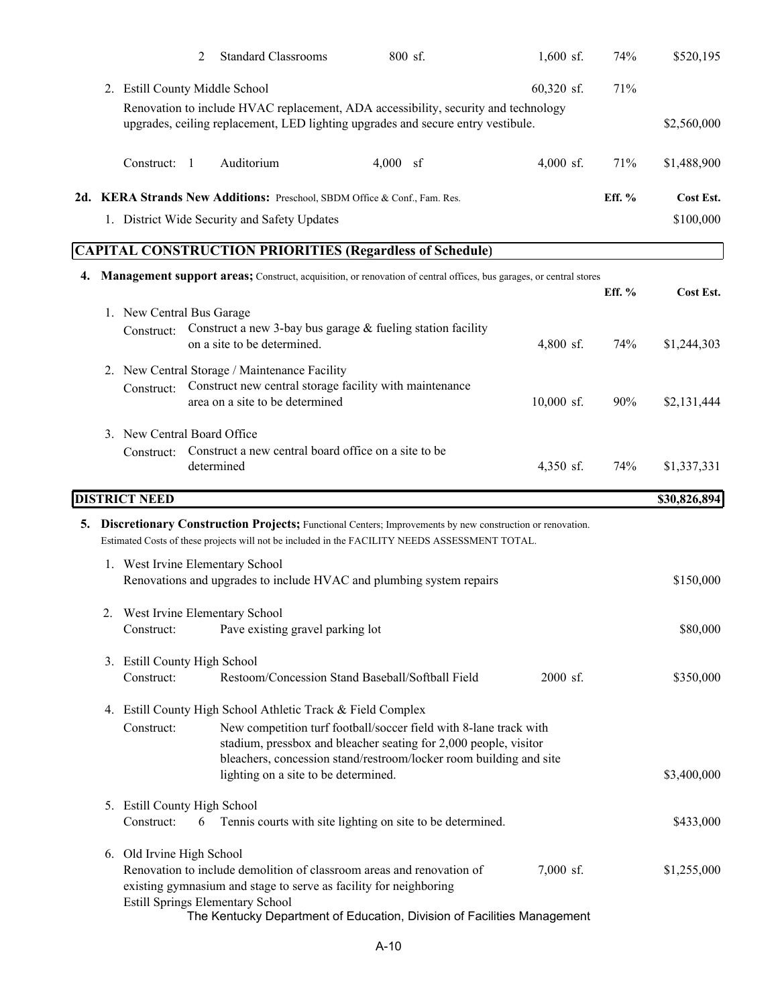|    |                                                                                                 | 2 | <b>Standard Classrooms</b>                                                                               | 800 sf.                                                                                                                               | $1,600$ sf.  | 74%      | \$520,195    |
|----|-------------------------------------------------------------------------------------------------|---|----------------------------------------------------------------------------------------------------------|---------------------------------------------------------------------------------------------------------------------------------------|--------------|----------|--------------|
|    | 2. Estill County Middle School                                                                  |   |                                                                                                          |                                                                                                                                       | 60,320 sf.   | 71%      |              |
|    |                                                                                                 |   |                                                                                                          | Renovation to include HVAC replacement, ADA accessibility, security and technology                                                    |              |          |              |
|    | upgrades, ceiling replacement, LED lighting upgrades and secure entry vestibule.<br>\$2,560,000 |   |                                                                                                          |                                                                                                                                       |              |          |              |
|    | Construct: 1                                                                                    |   | Auditorium                                                                                               | $4,000$ sf                                                                                                                            | $4,000$ sf.  | 71%      | \$1,488,900  |
|    |                                                                                                 |   | 2d. KERA Strands New Additions: Preschool, SBDM Office & Conf., Fam. Res.                                |                                                                                                                                       |              | Eff. $%$ | Cost Est.    |
|    |                                                                                                 |   | 1. District Wide Security and Safety Updates                                                             |                                                                                                                                       |              |          | \$100,000    |
|    |                                                                                                 |   |                                                                                                          | <b>CAPITAL CONSTRUCTION PRIORITIES (Regardless of Schedule)</b>                                                                       |              |          |              |
| 4. |                                                                                                 |   |                                                                                                          | <b>Management support areas;</b> Construct, acquisition, or renovation of central offices, bus garages, or central stores             |              |          |              |
|    |                                                                                                 |   |                                                                                                          |                                                                                                                                       |              | Eff. %   | Cost Est.    |
|    | 1. New Central Bus Garage                                                                       |   |                                                                                                          |                                                                                                                                       |              |          |              |
|    | Construct:                                                                                      |   | on a site to be determined.                                                                              | Construct a new 3-bay bus garage $&$ fueling station facility                                                                         | 4,800 sf.    | 74%      | \$1,244,303  |
|    |                                                                                                 |   |                                                                                                          |                                                                                                                                       |              |          |              |
|    | Construct:                                                                                      |   | 2. New Central Storage / Maintenance Facility<br>Construct new central storage facility with maintenance |                                                                                                                                       |              |          |              |
|    |                                                                                                 |   | area on a site to be determined                                                                          |                                                                                                                                       | $10,000$ sf. | 90%      | \$2,131,444  |
|    | 3. New Central Board Office                                                                     |   |                                                                                                          |                                                                                                                                       |              |          |              |
|    | Construct:                                                                                      |   | Construct a new central board office on a site to be                                                     |                                                                                                                                       |              |          |              |
|    |                                                                                                 |   | determined                                                                                               |                                                                                                                                       | 4,350 sf.    | 74%      | \$1,337,331  |
|    | <b>DISTRICT NEED</b>                                                                            |   |                                                                                                          |                                                                                                                                       |              |          | \$30,826,894 |
| 5. |                                                                                                 |   |                                                                                                          | Discretionary Construction Projects; Functional Centers; Improvements by new construction or renovation.                              |              |          |              |
|    |                                                                                                 |   |                                                                                                          |                                                                                                                                       |              |          |              |
|    |                                                                                                 |   |                                                                                                          | Estimated Costs of these projects will not be included in the FACILITY NEEDS ASSESSMENT TOTAL.                                        |              |          |              |
|    |                                                                                                 |   | 1. West Irvine Elementary School                                                                         |                                                                                                                                       |              |          |              |
|    |                                                                                                 |   |                                                                                                          | Renovations and upgrades to include HVAC and plumbing system repairs                                                                  |              |          | \$150,000    |
|    |                                                                                                 |   | 2. West Irvine Elementary School                                                                         |                                                                                                                                       |              |          |              |
|    | Construct:                                                                                      |   | Pave existing gravel parking lot                                                                         |                                                                                                                                       |              |          | \$80,000     |
|    |                                                                                                 |   |                                                                                                          |                                                                                                                                       |              |          |              |
|    | 3. Estill County High School<br>Construct:                                                      |   |                                                                                                          | Restoom/Concession Stand Baseball/Softball Field                                                                                      | $2000$ sf.   |          | \$350,000    |
|    |                                                                                                 |   |                                                                                                          |                                                                                                                                       |              |          |              |
|    |                                                                                                 |   | 4. Estill County High School Athletic Track & Field Complex                                              |                                                                                                                                       |              |          |              |
|    | Construct:                                                                                      |   |                                                                                                          | New competition turf football/soccer field with 8-lane track with<br>stadium, pressbox and bleacher seating for 2,000 people, visitor |              |          |              |
|    |                                                                                                 |   |                                                                                                          | bleachers, concession stand/restroom/locker room building and site                                                                    |              |          |              |
|    |                                                                                                 |   | lighting on a site to be determined.                                                                     |                                                                                                                                       |              |          | \$3,400,000  |
|    | 5. Estill County High School                                                                    |   |                                                                                                          |                                                                                                                                       |              |          |              |
|    | Construct:                                                                                      | 6 |                                                                                                          | Tennis courts with site lighting on site to be determined.                                                                            |              |          | \$433,000    |
|    | 6. Old Irvine High School                                                                       |   |                                                                                                          |                                                                                                                                       |              |          |              |
|    |                                                                                                 |   |                                                                                                          | Renovation to include demolition of classroom areas and renovation of                                                                 | $7,000$ sf.  |          | \$1,255,000  |
|    |                                                                                                 |   | existing gymnasium and stage to serve as facility for neighboring<br>Estill Springs Elementary School    |                                                                                                                                       |              |          |              |